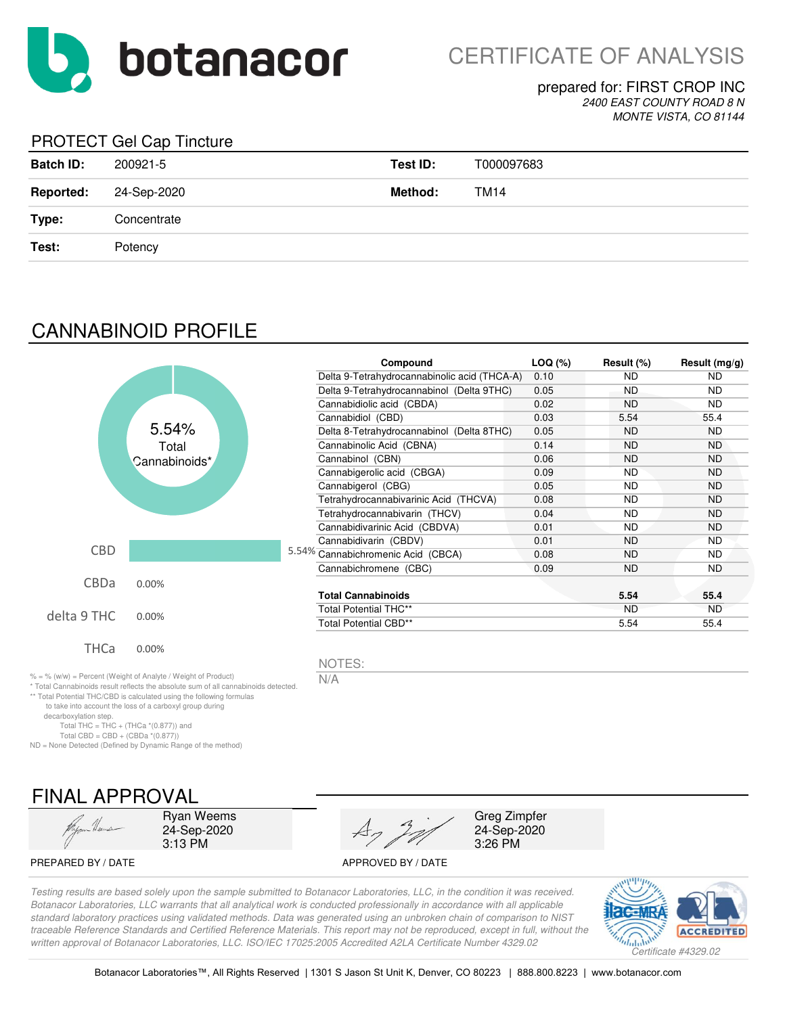

### prepared for: FIRST CROP INC *2400 EAST COUNTY ROAD 8 N*

*MONTE VISTA, CO 81144*

### PROTECT Gel Cap Tincture

| <b>Batch ID:</b> | 200921-5    | Test ID: | T000097683 |
|------------------|-------------|----------|------------|
| <b>Reported:</b> | 24-Sep-2020 | Method:  | TM14       |
| Type:            | Concentrate |          |            |
| Test:            | Potency     |          |            |

# CANNABINOID PROFILE

|             |                                                                                                                                                                                                                               | Compound                                     | $LOQ$ $(\%)$ | Result (%) | Result $(mg/g)$ |
|-------------|-------------------------------------------------------------------------------------------------------------------------------------------------------------------------------------------------------------------------------|----------------------------------------------|--------------|------------|-----------------|
|             |                                                                                                                                                                                                                               | Delta 9-Tetrahydrocannabinolic acid (THCA-A) | 0.10         | <b>ND</b>  | <b>ND</b>       |
|             |                                                                                                                                                                                                                               | Delta 9-Tetrahydrocannabinol (Delta 9THC)    | 0.05         | <b>ND</b>  | <b>ND</b>       |
|             |                                                                                                                                                                                                                               | Cannabidiolic acid (CBDA)                    | 0.02         | <b>ND</b>  | <b>ND</b>       |
|             |                                                                                                                                                                                                                               | Cannabidiol (CBD)                            | 0.03         | 5.54       | 55.4            |
|             | 5.54%                                                                                                                                                                                                                         | Delta 8-Tetrahydrocannabinol (Delta 8THC)    | 0.05         | <b>ND</b>  | <b>ND</b>       |
|             | Total                                                                                                                                                                                                                         | Cannabinolic Acid (CBNA)                     | 0.14         | <b>ND</b>  | <b>ND</b>       |
|             | Cannabinoids*                                                                                                                                                                                                                 | Cannabinol (CBN)                             | 0.06         | <b>ND</b>  | <b>ND</b>       |
|             |                                                                                                                                                                                                                               | Cannabigerolic acid (CBGA)                   | 0.09         | <b>ND</b>  | <b>ND</b>       |
|             |                                                                                                                                                                                                                               | Cannabigerol (CBG)                           | 0.05         | <b>ND</b>  | <b>ND</b>       |
|             |                                                                                                                                                                                                                               | Tetrahydrocannabivarinic Acid (THCVA)        | 0.08         | <b>ND</b>  | <b>ND</b>       |
|             |                                                                                                                                                                                                                               | Tetrahydrocannabivarin (THCV)                | 0.04         | <b>ND</b>  | <b>ND</b>       |
|             |                                                                                                                                                                                                                               | Cannabidivarinic Acid (CBDVA)                | 0.01         | <b>ND</b>  | ND.             |
|             |                                                                                                                                                                                                                               | Cannabidivarin (CBDV)                        | 0.01         | <b>ND</b>  | <b>ND</b>       |
| <b>CBD</b>  |                                                                                                                                                                                                                               | 5.54% Cannabichromenic Acid (CBCA)           | 0.08         | <b>ND</b>  | <b>ND</b>       |
|             |                                                                                                                                                                                                                               | Cannabichromene (CBC)                        | 0.09         | <b>ND</b>  | ND.             |
| CBDa        | 0.00%                                                                                                                                                                                                                         |                                              |              |            |                 |
|             |                                                                                                                                                                                                                               | <b>Total Cannabinoids</b>                    |              | 5.54       | 55.4            |
| delta 9 THC | 0.00%                                                                                                                                                                                                                         | Total Potential THC**                        |              | <b>ND</b>  | <b>ND</b>       |
|             |                                                                                                                                                                                                                               | Total Potential CBD**                        |              | 5.54       | 55.4            |
| <b>THCa</b> | 0.00%                                                                                                                                                                                                                         |                                              |              |            |                 |
|             |                                                                                                                                                                                                                               | NOTES:                                       |              |            |                 |
|             | % = % (w/w) = Percent (Weight of Analyte / Weight of Product)<br>* Total Cannabinoids result reflects the absolute sum of all cannabinoids detected.<br>** Total Potential THC/CBD is calculated using the following formulas | N/A                                          |              |            |                 |

\*\* Total Potential THC/CBD is calculated using the following formulas

to take into account the loss of a carboxyl group during

decarboxylation step.

Total THC = THC + (THCa \*(0.877)) and Total CBD = CBD + (CBDa \*(0.877))

ND = None Detected (Defined by Dynamic Range of the method)



Ryan Weems 24-Sep-2020 3:13 PM

Greg Zimpfer 24-Sep-2020 3:26 PM

PREPARED BY / DATE APPROVED BY / DATE

*Testing results are based solely upon the sample submitted to Botanacor Laboratories, LLC, in the condition it was received. Botanacor Laboratories, LLC warrants that all analytical work is conducted professionally in accordance with all applicable standard laboratory practices using validated methods. Data was generated using an unbroken chain of comparison to NIST traceable Reference Standards and Certified Reference Materials. This report may not be reproduced, except in full, without the* 

*written approval of Botanacor Laboratories, LLC. ISO/IEC 17025:2005 Accredited A2LA Certificate Number 4329.02*

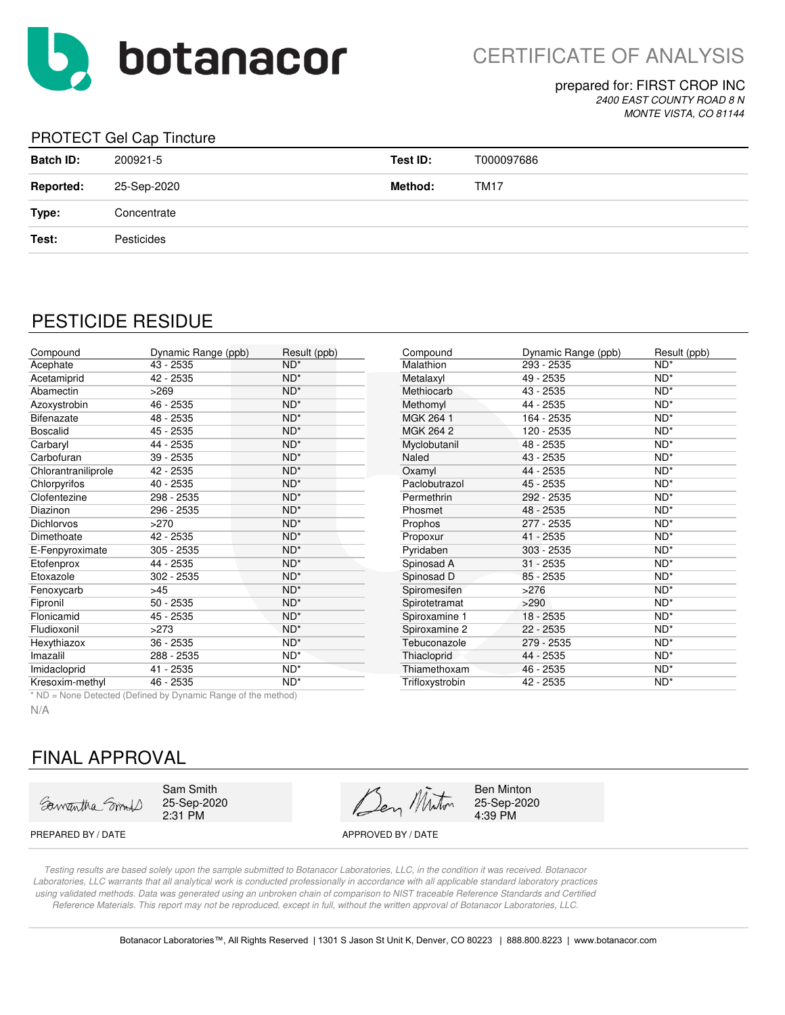

prepared for: FIRST CROP INC *2400 EAST COUNTY ROAD 8 N MONTE VISTA, CO 81144*

#### PROTECT Gel Cap Tincture

| <b>Batch ID:</b> | 200921-5    | Test ID: | T000097686  |
|------------------|-------------|----------|-------------|
| <b>Reported:</b> | 25-Sep-2020 | Method:  | <b>TM17</b> |
| Type:            | Concentrate |          |             |
| Test:            | Pesticides  |          |             |

## PESTICIDE RESIDUE

| Compound            | Dynamic Range (ppb) | Result (ppb)    | Compound        | Dynamic Range (ppb) | Result (ppb)    |
|---------------------|---------------------|-----------------|-----------------|---------------------|-----------------|
| Acephate            | 43 - 2535           | $ND^*$          | Malathion       | 293 - 2535          | $ND^*$          |
| Acetamiprid         | 42 - 2535           | $ND^*$          | Metalaxyl       | 49 - 2535           | $ND^*$          |
| Abamectin           | >269                | $ND^*$          | Methiocarb      | 43 - 2535           | $ND^*$          |
| Azoxystrobin        | 46 - 2535           | $ND^*$          | Methomyl        | 44 - 2535           | $ND^*$          |
| Bifenazate          | 48 - 2535           | $ND^*$          | MGK 264 1       | 164 - 2535          | $ND^*$          |
| <b>Boscalid</b>     | 45 - 2535           | $ND^*$          | MGK 264 2       | 120 - 2535          | $ND^*$          |
| Carbaryl            | 44 - 2535           | $ND^*$          | Myclobutanil    | 48 - 2535           | $ND^*$          |
| Carbofuran          | 39 - 2535           | $ND^*$          | Naled           | 43 - 2535           | $ND^*$          |
| Chlorantraniliprole | 42 - 2535           | $ND^*$          | Oxamyl          | 44 - 2535           | $ND^*$          |
| Chlorpyrifos        | 40 - 2535           | $ND^*$          | Paclobutrazol   | 45 - 2535           | $ND^*$          |
| Clofentezine        | 298 - 2535          | $ND^*$          | Permethrin      | 292 - 2535          | $ND^*$          |
| Diazinon            | 296 - 2535          | $ND^*$          | Phosmet         | 48 - 2535           | $ND^*$          |
| <b>Dichlorvos</b>   | >270                | $ND^*$          | Prophos         | 277 - 2535          | $ND^*$          |
| Dimethoate          | 42 - 2535           | $ND^*$          | Propoxur        | 41 - 2535           | $ND^*$          |
| E-Fenpyroximate     | 305 - 2535          | ND <sup>*</sup> | Pyridaben       | $303 - 2535$        | $ND^*$          |
| Etofenprox          | 44 - 2535           | $ND^*$          | Spinosad A      | $31 - 2535$         | $ND^*$          |
| Etoxazole           | 302 - 2535          | $ND^*$          | Spinosad D      | $85 - 2535$         | $ND^*$          |
| Fenoxycarb          | $>45$               | ND <sup>*</sup> | Spiromesifen    | >276                | $ND^*$          |
| Fipronil            | $50 - 2535$         | $ND^*$          | Spirotetramat   | >290                | $ND^*$          |
| Flonicamid          | 45 - 2535           | ND <sup>*</sup> | Spiroxamine 1   | 18 - 2535           | $ND^*$          |
| Fludioxonil         | >273                | $ND^*$          | Spiroxamine 2   | 22 - 2535           | $ND^*$          |
| Hexythiazox         | $36 - 2535$         | ND <sup>*</sup> | Tebuconazole    | 279 - 2535          | ND <sup>*</sup> |
| Imazalil            | 288 - 2535          | $ND^*$          | Thiacloprid     | 44 - 2535           | $ND^*$          |
| Imidacloprid        | 41 - 2535           | ND*             | Thiamethoxam    | 46 - 2535           | $ND^*$          |
| Kresoxim-methyl     | 46 - 2535           | $ND^*$          | Trifloxystrobin | 42 - 2535           | $ND^*$          |

| Compound       | Dynamic Range (ppb) | Result (ppb)    |
|----------------|---------------------|-----------------|
| Malathion      | 293 - 2535          | $ND^*$          |
| Metalaxyl      | 49 - 2535           | ND <sup>*</sup> |
| Methiocarb     | 43 - 2535           | $ND^*$          |
| Methomyl       | 44 - 2535           | ND <sup>*</sup> |
| MGK 264 1      | 164 - 2535          | $ND^*$          |
| MGK 264 2      | 120 - 2535          | ND <sup>*</sup> |
| Myclobutanil   | 48 - 2535           | $ND^*$          |
| Naled          | 43 - 2535           | ND <sup>*</sup> |
| Oxamyl         | 44 - 2535           | $ND^*$          |
| Paclobutrazol  | 45 - 2535           | ND <sup>*</sup> |
| Permethrin     | 292 - 2535          | ND*             |
| Phosmet        | 48 - 2535           | ND <sup>*</sup> |
| Prophos        | 277 - 2535          | ND <sup>*</sup> |
| Propoxur       | 41 - 2535           | ND <sup>*</sup> |
| Pyridaben      | 303 - 2535          | ND <sup>*</sup> |
| Spinosad A     | 31 - 2535           | $ND^*$          |
| Spinosad D     | 85 - 2535           | ND <sup>*</sup> |
| Spiromesifen   | >276                | ND <sup>*</sup> |
| Spirotetramat  | >290                | ND <sup>*</sup> |
| Spiroxamine 1  | 18 - 2535           | $ND^*$          |
| Spiroxamine 2  | 22 - 2535           | ND <sup>*</sup> |
| Tebuconazole   | 279 - 2535          | $ND^*$          |
| Thiacloprid    | 44 - 2535           | ND*             |
| Thiamethoxam   | 46 - 2535           | $ND^*$          |
| Triflowntrobin | <u>າດ</u><br>OEOE   | <b>NIN*</b>     |

\* ND = None Detected (Defined by Dynamic Range of the method)

N/A

## FINAL APPROVAL

Samantha Smoll

Sam Smith 25-Sep-2020 2:31 PM

Den Miton

Ben Minton 25-Sep-2020 4:39 PM

PREPARED BY / DATE APPROVED BY / DATE

*Testing results are based solely upon the sample submitted to Botanacor Laboratories, LLC, in the condition it was received. Botanacor Laboratories, LLC warrants that all analytical work is conducted professionally in accordance with all applicable standard laboratory practices using validated methods. Data was generated using an unbroken chain of comparison to NIST traceable Reference Standards and Certified Reference Materials. This report may not be reproduced, except in full, without the written approval of Botanacor Laboratories, LLC.*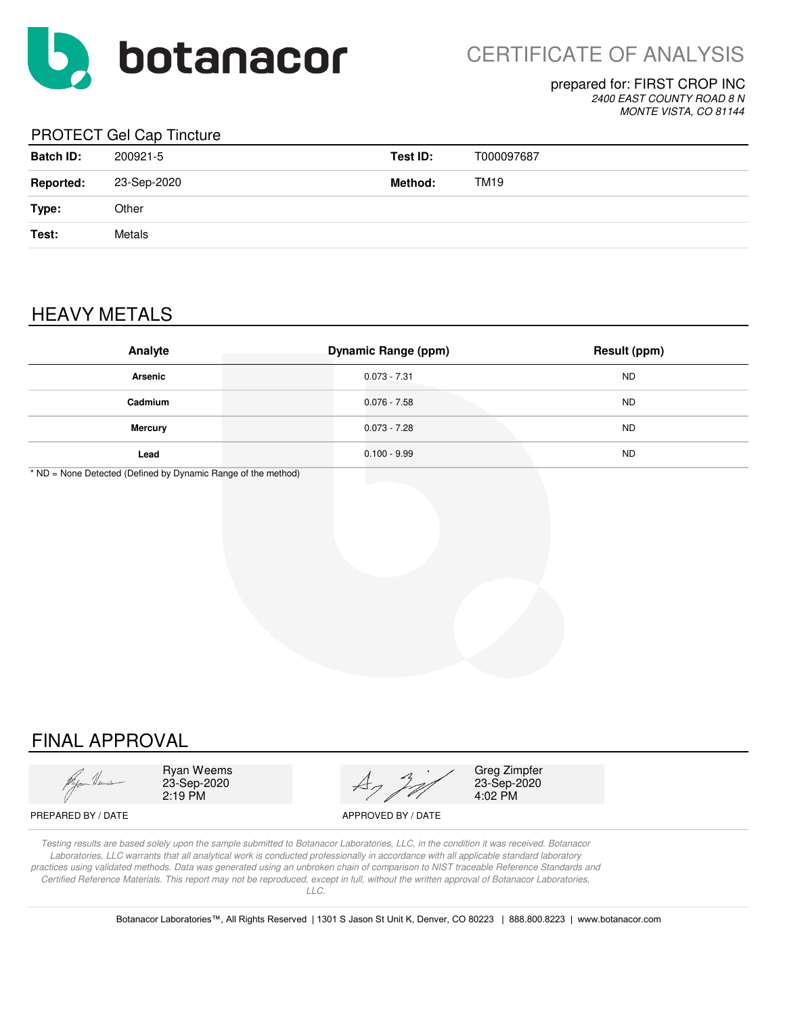

#### prepared for: FIRST CROP INC *2400 EAST COUNTY ROAD 8 N*

*MONTE VISTA, CO 81144*

### PROTECT Gel Cap Tincture

| <b>Batch ID:</b> | 200921-5    | Test ID: | T000097687 |
|------------------|-------------|----------|------------|
| <b>Reported:</b> | 23-Sep-2020 | Method:  | TM19       |
| Type:            | Other       |          |            |
| Test:            | Metals      |          |            |
|                  |             |          |            |

# HEAVY METALS

| Analyte        | <b>Dynamic Range (ppm)</b> | <b>Result (ppm)</b> |
|----------------|----------------------------|---------------------|
| <b>Arsenic</b> | $0.073 - 7.31$             | <b>ND</b>           |
| Cadmium        | $0.076 - 7.58$             | <b>ND</b>           |
| <b>Mercury</b> | $0.073 - 7.28$             | <b>ND</b>           |
| Lead           | $0.100 - 9.99$             | <b>ND</b>           |

\* ND = None Detected (Defined by Dynamic Range of the method)

# FINAL APPROVAL



Ryan Weems 23-Sep-2020 2:19 PM



Greg Zimpfer 23-Sep-2020 4:02 PM

PREPARED BY / DATE APPROVED BY / DATE

*Testing results are based solely upon the sample submitted to Botanacor Laboratories, LLC, in the condition it was received. Botanacor Laboratories, LLC warrants that all analytical work is conducted professionally in accordance with all applicable standard laboratory practices using validated methods. Data was generated using an unbroken chain of comparison to NIST traceable Reference Standards and Certified Reference Materials. This report may not be reproduced, except in full, without the written approval of Botanacor Laboratories, LLC.* 

Botanacor Laboratories™, All Rights Reserved | 1301 S Jason St Unit K, Denver, CO 80223 | 888.800.8223 | www.botanacor.com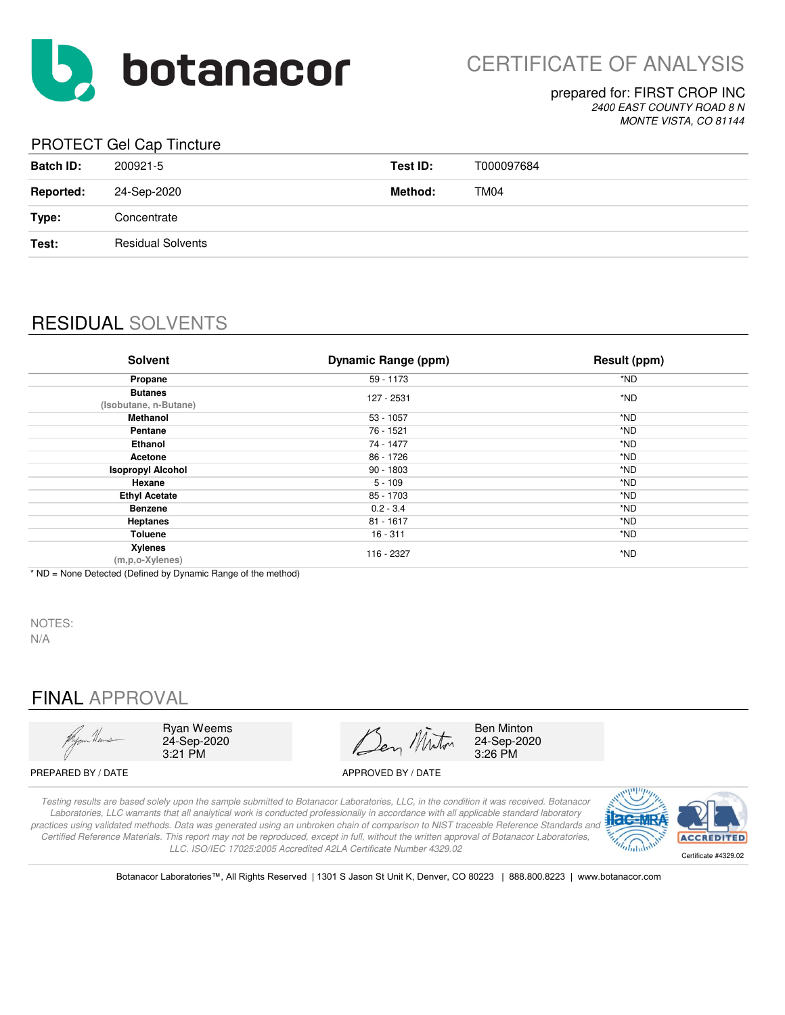

### prepared for: FIRST CROP INC *2400 EAST COUNTY ROAD 8 N*

*MONTE VISTA, CO 81144*

### PROTECT Gel Cap Tincture

| <b>Batch ID:</b> | 200921-5                 | Test ID: | T000097684       |
|------------------|--------------------------|----------|------------------|
| <b>Reported:</b> | 24-Sep-2020              | Method:  | TM <sub>04</sub> |
| Type:            | Concentrate              |          |                  |
| Test:            | <b>Residual Solvents</b> |          |                  |
|                  |                          |          |                  |

# RESIDUAL SOLVENTS

| <b>Solvent</b>                          | <b>Dynamic Range (ppm)</b> | <b>Result (ppm)</b> |
|-----------------------------------------|----------------------------|---------------------|
| Propane                                 | 59 - 1173                  | *ND                 |
| <b>Butanes</b><br>(Isobutane, n-Butane) | 127 - 2531                 | *ND                 |
| Methanol                                | $53 - 1057$                | *ND                 |
| Pentane                                 | 76 - 1521                  | *ND                 |
| Ethanol                                 | 74 - 1477                  | *ND                 |
| Acetone                                 | 86 - 1726                  | *ND                 |
| <b>Isopropyl Alcohol</b>                | $90 - 1803$                | *ND                 |
| Hexane                                  | $5 - 109$                  | *ND                 |
| <b>Ethyl Acetate</b>                    | 85 - 1703                  | *ND                 |
| <b>Benzene</b>                          | $0.2 - 3.4$                | *ND                 |
| <b>Heptanes</b>                         | $81 - 1617$                | *ND                 |
| <b>Toluene</b>                          | $16 - 311$                 | *ND                 |
| Xylenes<br>(m,p,o-Xylenes)              | 116 - 2327                 | *ND                 |

\* ND = None Detected (Defined by Dynamic Range of the method)

NOTES: N/A

# FINAL APPROVAL



Ryan Weems 24-Sep-2020 3:21 PM

Den Miton

Ben Minton 24-Sep-2020 3:26 PM

PREPARED BY / DATE APPROVED BY / DATE

*Testing results are based solely upon the sample submitted to Botanacor Laboratories, LLC, in the condition it was received. Botanacor Laboratories, LLC warrants that all analytical work is conducted professionally in accordance with all applicable standard laboratory practices using validated methods. Data was generated using an unbroken chain of comparison to NIST traceable Reference Standards and Certified Reference Materials. This report may not be reproduced, except in full, without the written approval of Botanacor Laboratories, LLC. ISO/IEC 17025:2005 Accredited A2LA Certificate Number 4329.02*



Botanacor Laboratories™, All Rights Reserved | 1301 S Jason St Unit K, Denver, CO 80223 | 888.800.8223 | www.botanacor.com